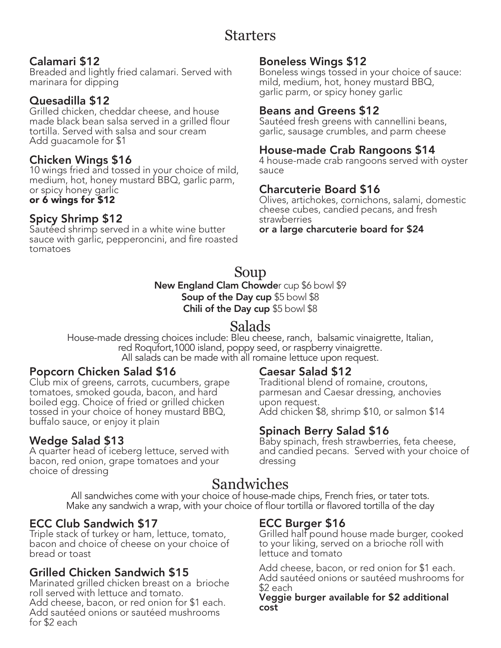# Starters

#### Calamari \$12

Breaded and lightly fried calamari. Served with marinara for dipping

#### Quesadilla \$12

Grilled chicken, cheddar cheese, and house made black bean salsa served in a grilled flour tortilla. Served with salsa and sour cream Add guacamole for \$1

#### Chicken Wings \$16

10 wings fried and tossed in your choice of mild, medium, hot, honey mustard BBQ, garlic parm, or spicy honey garlic or 6 wings for \$12

# Spicy Shrimp \$12

Sautéed shrimp served in a white wine butter sauce with garlic, pepperoncini, and fire roasted tomatoes

#### Boneless Wings \$12

Boneless wings tossed in your choice of sauce: mild, medium, hot, honey mustard BBQ, garlic parm, or spicy honey garlic

#### Beans and Greens \$12

Sautéed fresh greens with cannellini beans, garlic, sausage crumbles, and parm cheese

#### House-made Crab Rangoons \$14

4 house-made crab rangoons served with oyster sauce

#### Charcuterie Board \$16

Olives, artichokes, cornichons, salami, domestic cheese cubes, candied pecans, and fresh strawberries

or a large charcuterie board for \$24

# Soup

New England Clam Chowder cup \$6 bowl \$9 Soup of the Day cup \$5 bowl \$8 Chili of the Day cup \$5 bowl \$8

## Salads

House-made dressing choices include: Bleu cheese, ranch, balsamic vinaigrette, Italian, red Roqufort,1000 island, poppy seed, or raspberry vinaigrette. All salads can be made with all romaine lettuce upon request.

#### Popcorn Chicken Salad \$16

Club mix of greens, carrots, cucumbers, grape tomatoes, smoked gouda, bacon, and hard boiled egg. Choice of fried or grilled chicken tossed in your choice of honey mustard BBQ, buffalo sauce, or enjoy it plain

#### Wedge Salad \$13

A quarter head of iceberg lettuce, served with bacon, red onion, grape tomatoes and your choice of dressing

#### Caesar Salad \$12

Traditional blend of romaine, croutons, parmesan and Caesar dressing, anchovies upon request. Add chicken \$8, shrimp \$10, or salmon \$14

#### Spinach Berry Salad \$16

Baby spinach, fresh strawberries, feta cheese, and candied pecans. Served with your choice of dressing

## Sandwiches

All sandwiches come with your choice of house-made chips, French fries, or tater tots. Make any sandwich a wrap, with your choice of flour tortilla or flavored tortilla of the day

#### ECC Club Sandwich \$17

Triple stack of turkey or ham, lettuce, tomato, bacon and choice of cheese on your choice of bread or toast

#### Grilled Chicken Sandwich \$15

Marinated grilled chicken breast on a brioche roll served with lettuce and tomato. Add cheese, bacon, or red onion for \$1 each. Add sautéed onions or sautéed mushrooms for \$2 each

#### ECC Burger \$16

Grilled half pound house made burger, cooked to your liking, served on a brioche roll with lettuce and tomato

Add cheese, bacon, or red onion for \$1 each. Add sautéed onions or sautéed mushrooms for \$2 each

Veggie burger available for \$2 additional cost